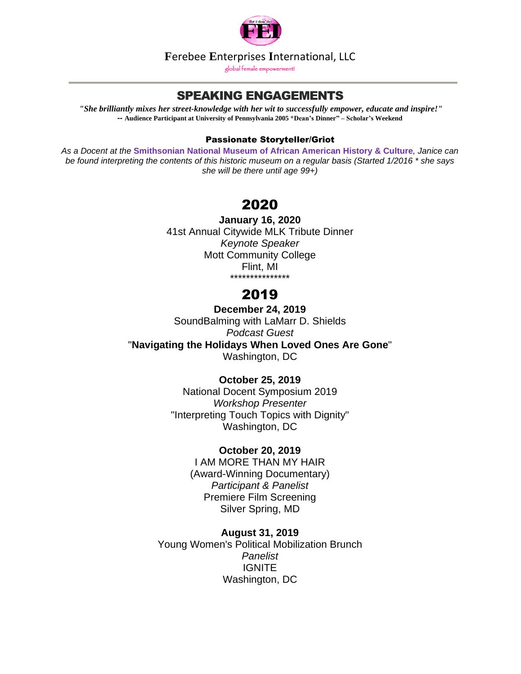

**F**erebee **E**nterprises **I**nternational, LLC

global female empowerment!

## SPEAKING ENGAGEMENTS

*"She brilliantly mixes her street-knowledge with her wit to successfully empower, educate and inspire!" --* **Audience Participant at University of Pennsylvania 2005 \*Dean's Dinner" – Scholar's Weekend**

#### Passionate Storyteller/Griot

*As a Docent at the* **[Smithsonian](http://www.nmaahc.si.edu/) National Museum of African American History & Culture***, Janice can* be found interpreting the contents of this historic museum on a regular basis (Started 1/2016 \* she says *she will be there until age 99+)*

# 2020

**January 16, 2020** 41st Annual Citywide MLK Tribute Dinner *Keynote Speaker* Mott Community College Flint, MI \*\*\*\*\*\*\*\*\*\*\*\*\*\*\*

# 2019

**December 24, 2019** SoundBalming with LaMarr D. Shields *Podcast Guest* "**[Navigating](https://www.buzzsprout.com/173721/2343227-how-to-navigate-the-holidays-after-losing-loved-ones-while-still-serving-others%E2%80%AC) the Holidays When Loved Ones Are Gone**" Washington, DC

## **October 25, 2019**

National Docent Symposium 2019 *Workshop Presenter* "Interpreting Touch Topics with Dignity" Washington, DC

#### **October 20, 2019**

I AM MORE THAN MY HAIR (Award-Winning Documentary) *Participant & Panelist* Premiere Film Screening Silver Spring, MD

**August 31, 2019** Young Women's Political Mobilization Brunch *Panelist* **IGNITE** Washington, DC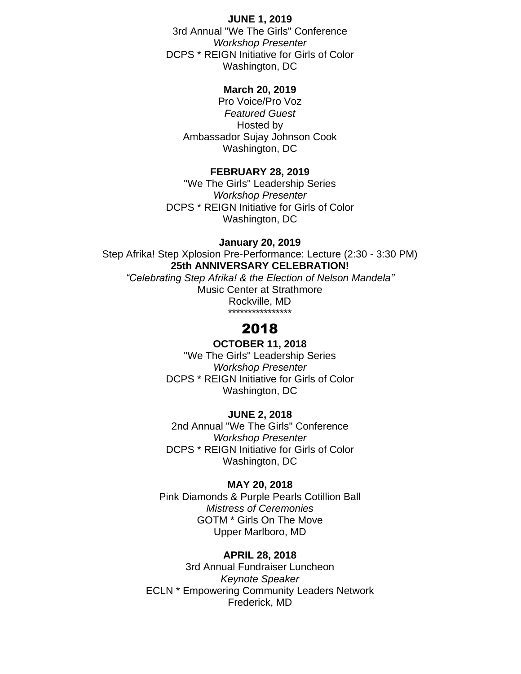#### **JUNE 1, 2019**

3rd Annual "We The Girls" Conference *Workshop Presenter* DCPS \* REIGN Initiative for Girls of Color Washington, DC

### **March 20, 2019**

Pro Voice/Pro Voz *Featured Guest* Hosted by Ambassador Sujay Johnson Cook Washington, DC

#### **FEBRUARY 28, 2019**

"We The Girls" Leadership Series *Workshop Presenter* DCPS \* REIGN Initiative for Girls of Color Washington, DC

#### **January 20, 2019**

Step Afrika! Step Xplosion Pre-Performance: Lecture (2:30 - 3:30 PM) **25th ANNIVERSARY CELEBRATION!** *"Celebrating Step Afrika! & the Election of Nelson Mandela"*

Music Center at Strathmore Rockville, MD \*\*\*\*\*\*\*\*\*\*\*\*\*\*\*\*

## 2018

## **OCTOBER 11, 2018**

"We The Girls" Leadership Series *Workshop Presenter* DCPS \* REIGN Initiative for Girls of Color Washington, DC

#### **JUNE 2, 2018**

2nd Annual "We The Girls" Conference *Workshop Presenter* DCPS \* REIGN Initiative for Girls of Color Washington, DC

#### **MAY 20, 2018**

Pink Diamonds & Purple Pearls Cotillion Ball *Mistress of Ceremonies* GOTM \* Girls On The Move Upper Marlboro, MD

#### **APRIL 28, 2018**

3rd Annual Fundraiser Luncheon *Keynote Speaker* ECLN \* Empowering Community Leaders Network Frederick, MD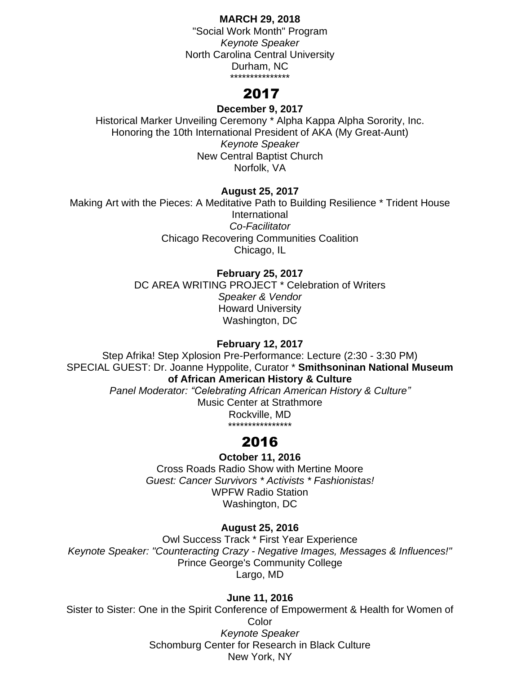### **MARCH 29, 2018**

"Social Work Month" Program *Keynote Speaker* North Carolina Central University Durham, NC \*\*\*\*\*\*\*\*\*\*\*\*\*\*\*

## 2017

## **December 9, 2017**

Historical Marker Unveiling Ceremony \* Alpha Kappa Alpha Sorority, Inc. Honoring the 10th International President of AKA (My Great-Aunt) *Keynote Speaker* New Central Baptist Church Norfolk, VA

## **August 25, 2017**

Making Art with the Pieces: A Meditative Path to Building Resilience \* Trident House International *Co-Facilitator* Chicago Recovering Communities Coalition Chicago, IL

## **February 25, 2017**

DC AREA WRITING PROJECT \* Celebration of Writers *Speaker & Vendor* Howard University Washington, DC

## **February 12, 2017**

Step Afrika! Step Xplosion Pre-Performance: Lecture (2:30 - 3:30 PM) SPECIAL GUEST: Dr. Joanne Hyppolite, Curator \* **[Smithsoninan](http://www.nmaahc.si.edu/) National Museum of African [American](http://www.nmaahc.si.edu/) History & Culture**

> *Panel Moderator: "Celebrating African American History & Culture"* Music Center at Strathmore Rockville, MD \*\*\*\*\*\*\*\*\*\*\*\*\*\*\*\*

## 2016

## **October 11, 2016**

Cross Roads Radio Show with Mertine Moore *Guest: Cancer Survivors \* Activists \* Fashionistas!* WPFW Radio Station Washington, DC

## **August 25, 2016**

Owl Success Track \* First Year Experience *Keynote Speaker: "Counteracting Crazy - Negative Images, Messages & Influences!"* Prince George's Community College Largo, MD

## **June 11, 2016**

Sister to Sister: One in the Spirit Conference of Empowerment & Health for Women of Color *Keynote Speaker* Schomburg Center for Research in Black Culture New York, NY